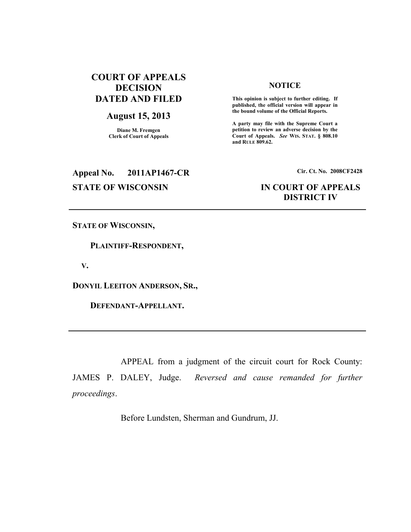# **COURT OF APPEALS DECISION DATED AND FILED**

### **August 15, 2013**

**Diane M. Fremgen Clerk of Court of Appeals** 

## **NOTICE**

 **This opinion is subject to further editing. If published, the official version will appear in the bound volume of the Official Reports.** 

**A party may file with the Supreme Court a petition to review an adverse decision by the Court of Appeals.** *See* **WIS. STAT. § 808.10 and RULE 809.62.** 

# **Appeal No. 2011AP1467-CR Cir. Ct. No. 2008CF2428**

## **STATE OF WISCONSIN IN COURT OF APPEALS DISTRICT IV**

**STATE OF WISCONSIN,** 

 **PLAINTIFF-RESPONDENT,** 

 **V.** 

**DONYIL LEEITON ANDERSON, SR.,** 

 **DEFENDANT-APPELLANT.** 

 APPEAL from a judgment of the circuit court for Rock County: JAMES P. DALEY, Judge. *Reversed and cause remanded for further proceedings*.

Before Lundsten, Sherman and Gundrum, JJ.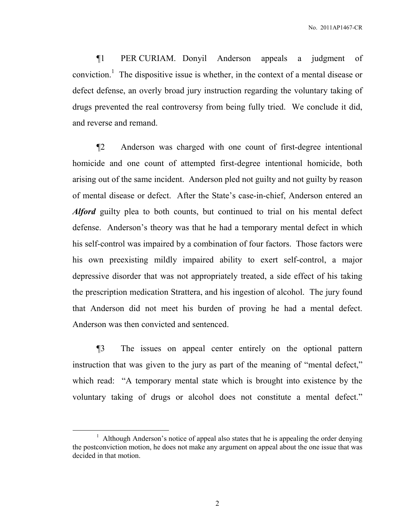¶1 PER CURIAM. Donyil Anderson appeals a judgment of conviction.<sup>1</sup> The dispositive issue is whether, in the context of a mental disease or defect defense, an overly broad jury instruction regarding the voluntary taking of drugs prevented the real controversy from being fully tried. We conclude it did, and reverse and remand.

¶2 Anderson was charged with one count of first-degree intentional homicide and one count of attempted first-degree intentional homicide, both arising out of the same incident. Anderson pled not guilty and not guilty by reason of mental disease or defect. After the State's case-in-chief, Anderson entered an *Alford* guilty plea to both counts, but continued to trial on his mental defect defense. Anderson's theory was that he had a temporary mental defect in which his self-control was impaired by a combination of four factors. Those factors were his own preexisting mildly impaired ability to exert self-control, a major depressive disorder that was not appropriately treated, a side effect of his taking the prescription medication Strattera, and his ingestion of alcohol. The jury found that Anderson did not meet his burden of proving he had a mental defect. Anderson was then convicted and sentenced.

¶3 The issues on appeal center entirely on the optional pattern instruction that was given to the jury as part of the meaning of "mental defect," which read: "A temporary mental state which is brought into existence by the voluntary taking of drugs or alcohol does not constitute a mental defect."

 $\overline{a}$ 

<sup>&</sup>lt;sup>1</sup> Although Anderson's notice of appeal also states that he is appealing the order denying the postconviction motion, he does not make any argument on appeal about the one issue that was decided in that motion.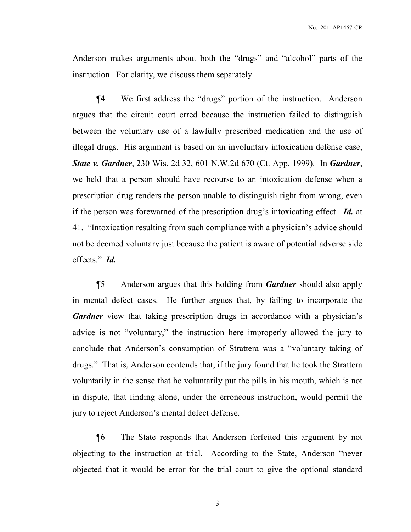Anderson makes arguments about both the "drugs" and "alcohol" parts of the instruction. For clarity, we discuss them separately.

¶4 We first address the "drugs" portion of the instruction. Anderson argues that the circuit court erred because the instruction failed to distinguish between the voluntary use of a lawfully prescribed medication and the use of illegal drugs. His argument is based on an involuntary intoxication defense case, *State v. Gardner*, 230 Wis. 2d 32, 601 N.W.2d 670 (Ct. App. 1999). In *Gardner*, we held that a person should have recourse to an intoxication defense when a prescription drug renders the person unable to distinguish right from wrong, even if the person was forewarned of the prescription drug's intoxicating effect. *Id.* at 41. "Intoxication resulting from such compliance with a physician's advice should not be deemed voluntary just because the patient is aware of potential adverse side effects." *Id.*

¶5 Anderson argues that this holding from *Gardner* should also apply in mental defect cases. He further argues that, by failing to incorporate the *Gardner* view that taking prescription drugs in accordance with a physician's advice is not "voluntary," the instruction here improperly allowed the jury to conclude that Anderson's consumption of Strattera was a "voluntary taking of drugs." That is, Anderson contends that, if the jury found that he took the Strattera voluntarily in the sense that he voluntarily put the pills in his mouth, which is not in dispute, that finding alone, under the erroneous instruction, would permit the jury to reject Anderson's mental defect defense.

¶6 The State responds that Anderson forfeited this argument by not objecting to the instruction at trial. According to the State, Anderson "never objected that it would be error for the trial court to give the optional standard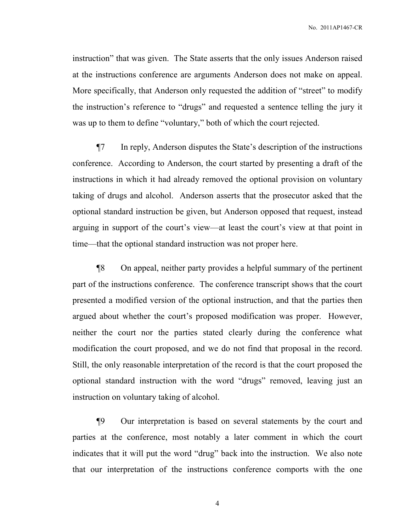instruction" that was given. The State asserts that the only issues Anderson raised at the instructions conference are arguments Anderson does not make on appeal. More specifically, that Anderson only requested the addition of "street" to modify the instruction's reference to "drugs" and requested a sentence telling the jury it was up to them to define "voluntary," both of which the court rejected.

¶7 In reply, Anderson disputes the State's description of the instructions conference. According to Anderson, the court started by presenting a draft of the instructions in which it had already removed the optional provision on voluntary taking of drugs and alcohol. Anderson asserts that the prosecutor asked that the optional standard instruction be given, but Anderson opposed that request, instead arguing in support of the court's view—at least the court's view at that point in time—that the optional standard instruction was not proper here.

¶8 On appeal, neither party provides a helpful summary of the pertinent part of the instructions conference. The conference transcript shows that the court presented a modified version of the optional instruction, and that the parties then argued about whether the court's proposed modification was proper. However, neither the court nor the parties stated clearly during the conference what modification the court proposed, and we do not find that proposal in the record. Still, the only reasonable interpretation of the record is that the court proposed the optional standard instruction with the word "drugs" removed, leaving just an instruction on voluntary taking of alcohol.

¶9 Our interpretation is based on several statements by the court and parties at the conference, most notably a later comment in which the court indicates that it will put the word "drug" back into the instruction. We also note that our interpretation of the instructions conference comports with the one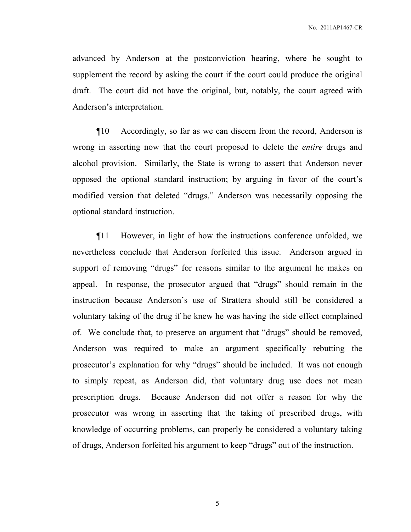advanced by Anderson at the postconviction hearing, where he sought to supplement the record by asking the court if the court could produce the original draft. The court did not have the original, but, notably, the court agreed with Anderson's interpretation.

¶10 Accordingly, so far as we can discern from the record, Anderson is wrong in asserting now that the court proposed to delete the *entire* drugs and alcohol provision. Similarly, the State is wrong to assert that Anderson never opposed the optional standard instruction; by arguing in favor of the court's modified version that deleted "drugs," Anderson was necessarily opposing the optional standard instruction.

¶11 However, in light of how the instructions conference unfolded, we nevertheless conclude that Anderson forfeited this issue. Anderson argued in support of removing "drugs" for reasons similar to the argument he makes on appeal. In response, the prosecutor argued that "drugs" should remain in the instruction because Anderson's use of Strattera should still be considered a voluntary taking of the drug if he knew he was having the side effect complained of. We conclude that, to preserve an argument that "drugs" should be removed, Anderson was required to make an argument specifically rebutting the prosecutor's explanation for why "drugs" should be included. It was not enough to simply repeat, as Anderson did, that voluntary drug use does not mean prescription drugs. Because Anderson did not offer a reason for why the prosecutor was wrong in asserting that the taking of prescribed drugs, with knowledge of occurring problems, can properly be considered a voluntary taking of drugs, Anderson forfeited his argument to keep "drugs" out of the instruction.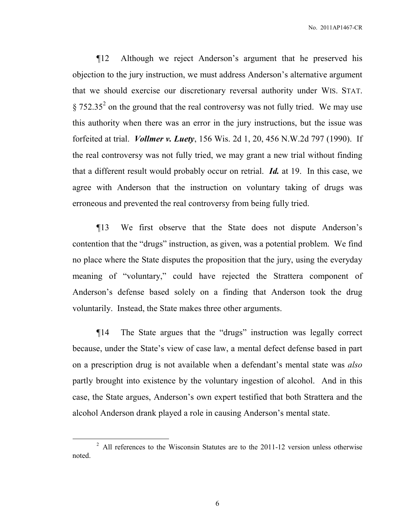¶12 Although we reject Anderson's argument that he preserved his objection to the jury instruction, we must address Anderson's alternative argument that we should exercise our discretionary reversal authority under WIS. STAT.  $\S 752.35<sup>2</sup>$  on the ground that the real controversy was not fully tried. We may use this authority when there was an error in the jury instructions, but the issue was forfeited at trial. *Vollmer v. Luety*, 156 Wis. 2d 1, 20, 456 N.W.2d 797 (1990). If the real controversy was not fully tried, we may grant a new trial without finding that a different result would probably occur on retrial. *Id.* at 19. In this case, we agree with Anderson that the instruction on voluntary taking of drugs was erroneous and prevented the real controversy from being fully tried.

¶13 We first observe that the State does not dispute Anderson's contention that the "drugs" instruction, as given, was a potential problem. We find no place where the State disputes the proposition that the jury, using the everyday meaning of "voluntary," could have rejected the Strattera component of Anderson's defense based solely on a finding that Anderson took the drug voluntarily. Instead, the State makes three other arguments.

¶14 The State argues that the "drugs" instruction was legally correct because, under the State's view of case law, a mental defect defense based in part on a prescription drug is not available when a defendant's mental state was *also* partly brought into existence by the voluntary ingestion of alcohol. And in this case, the State argues, Anderson's own expert testified that both Strattera and the alcohol Anderson drank played a role in causing Anderson's mental state.

 $\overline{a}$ 

 $2$  All references to the Wisconsin Statutes are to the 2011-12 version unless otherwise noted.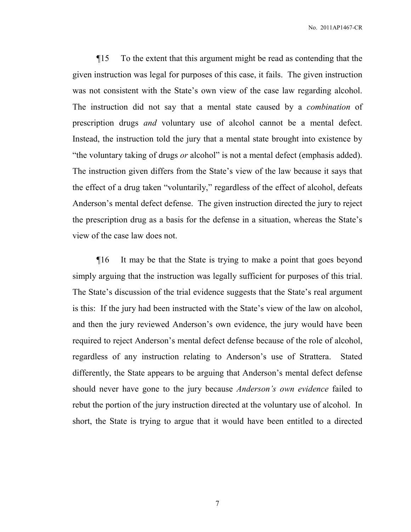¶15 To the extent that this argument might be read as contending that the given instruction was legal for purposes of this case, it fails. The given instruction was not consistent with the State's own view of the case law regarding alcohol. The instruction did not say that a mental state caused by a *combination* of prescription drugs *and* voluntary use of alcohol cannot be a mental defect. Instead, the instruction told the jury that a mental state brought into existence by "the voluntary taking of drugs *or* alcohol" is not a mental defect (emphasis added). The instruction given differs from the State's view of the law because it says that the effect of a drug taken "voluntarily," regardless of the effect of alcohol, defeats Anderson's mental defect defense. The given instruction directed the jury to reject the prescription drug as a basis for the defense in a situation, whereas the State's view of the case law does not.

¶16 It may be that the State is trying to make a point that goes beyond simply arguing that the instruction was legally sufficient for purposes of this trial. The State's discussion of the trial evidence suggests that the State's real argument is this: If the jury had been instructed with the State's view of the law on alcohol, and then the jury reviewed Anderson's own evidence, the jury would have been required to reject Anderson's mental defect defense because of the role of alcohol, regardless of any instruction relating to Anderson's use of Strattera. Stated differently, the State appears to be arguing that Anderson's mental defect defense should never have gone to the jury because *Anderson's own evidence* failed to rebut the portion of the jury instruction directed at the voluntary use of alcohol. In short, the State is trying to argue that it would have been entitled to a directed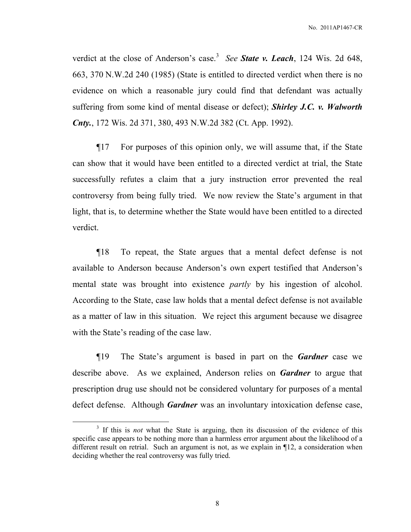verdict at the close of Anderson's case.<sup>3</sup> See **State v. Leach**, 124 Wis. 2d 648, 663, 370 N.W.2d 240 (1985) (State is entitled to directed verdict when there is no evidence on which a reasonable jury could find that defendant was actually suffering from some kind of mental disease or defect); *Shirley J.C. v. Walworth Cnty.*, 172 Wis. 2d 371, 380, 493 N.W.2d 382 (Ct. App. 1992).

¶17 For purposes of this opinion only, we will assume that, if the State can show that it would have been entitled to a directed verdict at trial, the State successfully refutes a claim that a jury instruction error prevented the real controversy from being fully tried. We now review the State's argument in that light, that is, to determine whether the State would have been entitled to a directed verdict.

¶18 To repeat, the State argues that a mental defect defense is not available to Anderson because Anderson's own expert testified that Anderson's mental state was brought into existence *partly* by his ingestion of alcohol. According to the State, case law holds that a mental defect defense is not available as a matter of law in this situation. We reject this argument because we disagree with the State's reading of the case law.

¶19 The State's argument is based in part on the *Gardner* case we describe above. As we explained, Anderson relies on *Gardner* to argue that prescription drug use should not be considered voluntary for purposes of a mental defect defense. Although *Gardner* was an involuntary intoxication defense case,

 $\overline{a}$ 

<sup>&</sup>lt;sup>3</sup> If this is *not* what the State is arguing, then its discussion of the evidence of this specific case appears to be nothing more than a harmless error argument about the likelihood of a different result on retrial. Such an argument is not, as we explain in ¶12, a consideration when deciding whether the real controversy was fully tried.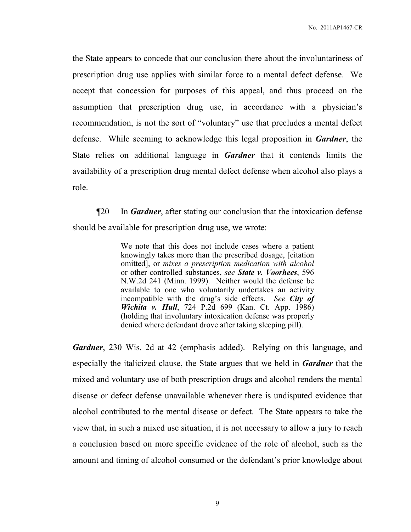the State appears to concede that our conclusion there about the involuntariness of prescription drug use applies with similar force to a mental defect defense. We accept that concession for purposes of this appeal, and thus proceed on the assumption that prescription drug use, in accordance with a physician's recommendation, is not the sort of "voluntary" use that precludes a mental defect defense. While seeming to acknowledge this legal proposition in *Gardner*, the State relies on additional language in *Gardner* that it contends limits the availability of a prescription drug mental defect defense when alcohol also plays a role.

¶20 In *Gardner*, after stating our conclusion that the intoxication defense should be available for prescription drug use, we wrote:

> We note that this does not include cases where a patient knowingly takes more than the prescribed dosage, [citation omitted], or *mixes a prescription medication with alcohol* or other controlled substances, *see State v. Voorhees*, 596 N.W.2d 241 (Minn. 1999). Neither would the defense be available to one who voluntarily undertakes an activity incompatible with the drug's side effects. *See City of Wichita v. Hull*, 724 P.2d 699 (Kan. Ct. App. 1986) (holding that involuntary intoxication defense was properly denied where defendant drove after taking sleeping pill).

*Gardner*, 230 Wis. 2d at 42 (emphasis added). Relying on this language, and especially the italicized clause, the State argues that we held in *Gardner* that the mixed and voluntary use of both prescription drugs and alcohol renders the mental disease or defect defense unavailable whenever there is undisputed evidence that alcohol contributed to the mental disease or defect. The State appears to take the view that, in such a mixed use situation, it is not necessary to allow a jury to reach a conclusion based on more specific evidence of the role of alcohol, such as the amount and timing of alcohol consumed or the defendant's prior knowledge about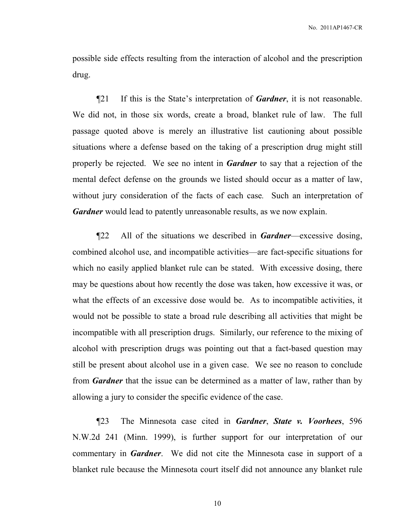possible side effects resulting from the interaction of alcohol and the prescription drug.

¶21 If this is the State's interpretation of *Gardner*, it is not reasonable. We did not, in those six words, create a broad, blanket rule of law. The full passage quoted above is merely an illustrative list cautioning about possible situations where a defense based on the taking of a prescription drug might still properly be rejected. We see no intent in *Gardner* to say that a rejection of the mental defect defense on the grounds we listed should occur as a matter of law, without jury consideration of the facts of each case*.* Such an interpretation of *Gardner* would lead to patently unreasonable results, as we now explain.

¶22 All of the situations we described in *Gardner*—excessive dosing, combined alcohol use, and incompatible activities—are fact-specific situations for which no easily applied blanket rule can be stated. With excessive dosing, there may be questions about how recently the dose was taken, how excessive it was, or what the effects of an excessive dose would be. As to incompatible activities, it would not be possible to state a broad rule describing all activities that might be incompatible with all prescription drugs. Similarly, our reference to the mixing of alcohol with prescription drugs was pointing out that a fact-based question may still be present about alcohol use in a given case. We see no reason to conclude from *Gardner* that the issue can be determined as a matter of law, rather than by allowing a jury to consider the specific evidence of the case.

¶23 The Minnesota case cited in *Gardner*, *State v. Voorhees*, 596 N.W.2d 241 (Minn. 1999), is further support for our interpretation of our commentary in *Gardner*. We did not cite the Minnesota case in support of a blanket rule because the Minnesota court itself did not announce any blanket rule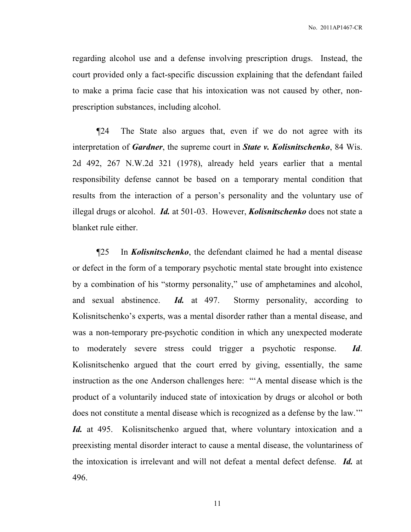regarding alcohol use and a defense involving prescription drugs. Instead, the court provided only a fact-specific discussion explaining that the defendant failed to make a prima facie case that his intoxication was not caused by other, nonprescription substances, including alcohol.

¶24 The State also argues that, even if we do not agree with its interpretation of *Gardner*, the supreme court in *State v. Kolisnitschenko*, 84 Wis. 2d 492, 267 N.W.2d 321 (1978), already held years earlier that a mental responsibility defense cannot be based on a temporary mental condition that results from the interaction of a person's personality and the voluntary use of illegal drugs or alcohol. *Id.* at 501-03. However, *Kolisnitschenko* does not state a blanket rule either.

¶25 In *Kolisnitschenko*, the defendant claimed he had a mental disease or defect in the form of a temporary psychotic mental state brought into existence by a combination of his "stormy personality," use of amphetamines and alcohol, and sexual abstinence. *Id.* at 497. Stormy personality, according to Kolisnitschenko's experts, was a mental disorder rather than a mental disease, and was a non-temporary pre-psychotic condition in which any unexpected moderate to moderately severe stress could trigger a psychotic response. *Id*. Kolisnitschenko argued that the court erred by giving, essentially, the same instruction as the one Anderson challenges here: "'A mental disease which is the product of a voluntarily induced state of intoxication by drugs or alcohol or both does not constitute a mental disease which is recognized as a defense by the law.'" *Id.* at 495. Kolisnitschenko argued that, where voluntary intoxication and a preexisting mental disorder interact to cause a mental disease, the voluntariness of the intoxication is irrelevant and will not defeat a mental defect defense. *Id.* at 496.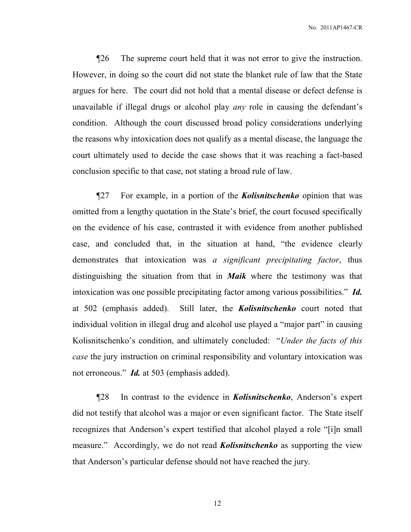¶26 The supreme court held that it was not error to give the instruction. However, in doing so the court did not state the blanket rule of law that the State argues for here. The court did not hold that a mental disease or defect defense is unavailable if illegal drugs or alcohol play *any* role in causing the defendant's condition. Although the court discussed broad policy considerations underlying the reasons why intoxication does not qualify as a mental disease, the language the court ultimately used to decide the case shows that it was reaching a fact-based conclusion specific to that case, not stating a broad rule of law.

¶27 For example, in a portion of the *Kolisnitschenko* opinion that was omitted from a lengthy quotation in the State's brief, the court focused specifically on the evidence of his case, contrasted it with evidence from another published case, and concluded that, in the situation at hand, "the evidence clearly demonstrates that intoxication was *a significant precipitating factor*, thus distinguishing the situation from that in *Maik* where the testimony was that intoxication was one possible precipitating factor among various possibilities." *Id.* at 502 (emphasis added). Still later, the *Kolisnitschenko* court noted that individual volition in illegal drug and alcohol use played a "major part" in causing Kolisnitschenko's condition, and ultimately concluded: "*Under the facts of this case* the jury instruction on criminal responsibility and voluntary intoxication was not erroneous." *Id.* at 503 (emphasis added).

¶28 In contrast to the evidence in *Kolisnitschenko*, Anderson's expert did not testify that alcohol was a major or even significant factor. The State itself recognizes that Anderson's expert testified that alcohol played a role "[i]n small measure." Accordingly, we do not read *Kolisnitschenko* as supporting the view that Anderson's particular defense should not have reached the jury.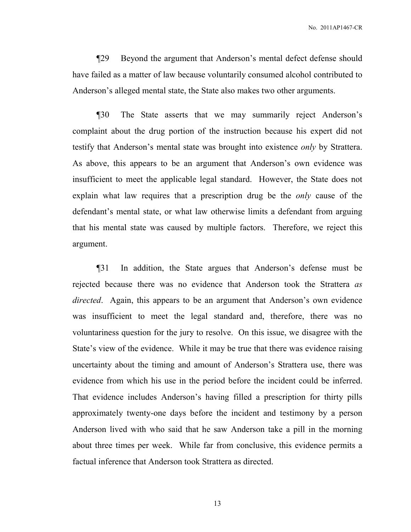¶29 Beyond the argument that Anderson's mental defect defense should have failed as a matter of law because voluntarily consumed alcohol contributed to Anderson's alleged mental state, the State also makes two other arguments.

¶30 The State asserts that we may summarily reject Anderson's complaint about the drug portion of the instruction because his expert did not testify that Anderson's mental state was brought into existence *only* by Strattera. As above, this appears to be an argument that Anderson's own evidence was insufficient to meet the applicable legal standard. However, the State does not explain what law requires that a prescription drug be the *only* cause of the defendant's mental state, or what law otherwise limits a defendant from arguing that his mental state was caused by multiple factors. Therefore, we reject this argument.

¶31 In addition, the State argues that Anderson's defense must be rejected because there was no evidence that Anderson took the Strattera *as directed*. Again, this appears to be an argument that Anderson's own evidence was insufficient to meet the legal standard and, therefore, there was no voluntariness question for the jury to resolve. On this issue, we disagree with the State's view of the evidence. While it may be true that there was evidence raising uncertainty about the timing and amount of Anderson's Strattera use, there was evidence from which his use in the period before the incident could be inferred. That evidence includes Anderson's having filled a prescription for thirty pills approximately twenty-one days before the incident and testimony by a person Anderson lived with who said that he saw Anderson take a pill in the morning about three times per week. While far from conclusive, this evidence permits a factual inference that Anderson took Strattera as directed.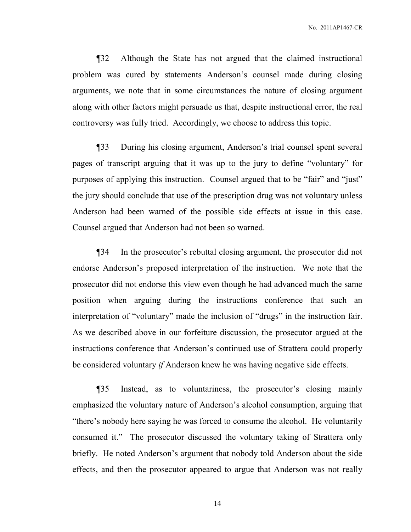¶32 Although the State has not argued that the claimed instructional problem was cured by statements Anderson's counsel made during closing arguments, we note that in some circumstances the nature of closing argument along with other factors might persuade us that, despite instructional error, the real controversy was fully tried. Accordingly, we choose to address this topic.

¶33 During his closing argument, Anderson's trial counsel spent several pages of transcript arguing that it was up to the jury to define "voluntary" for purposes of applying this instruction. Counsel argued that to be "fair" and "just" the jury should conclude that use of the prescription drug was not voluntary unless Anderson had been warned of the possible side effects at issue in this case. Counsel argued that Anderson had not been so warned.

¶34 In the prosecutor's rebuttal closing argument, the prosecutor did not endorse Anderson's proposed interpretation of the instruction. We note that the prosecutor did not endorse this view even though he had advanced much the same position when arguing during the instructions conference that such an interpretation of "voluntary" made the inclusion of "drugs" in the instruction fair. As we described above in our forfeiture discussion, the prosecutor argued at the instructions conference that Anderson's continued use of Strattera could properly be considered voluntary *if* Anderson knew he was having negative side effects.

¶35 Instead, as to voluntariness, the prosecutor's closing mainly emphasized the voluntary nature of Anderson's alcohol consumption, arguing that "there's nobody here saying he was forced to consume the alcohol. He voluntarily consumed it." The prosecutor discussed the voluntary taking of Strattera only briefly. He noted Anderson's argument that nobody told Anderson about the side effects, and then the prosecutor appeared to argue that Anderson was not really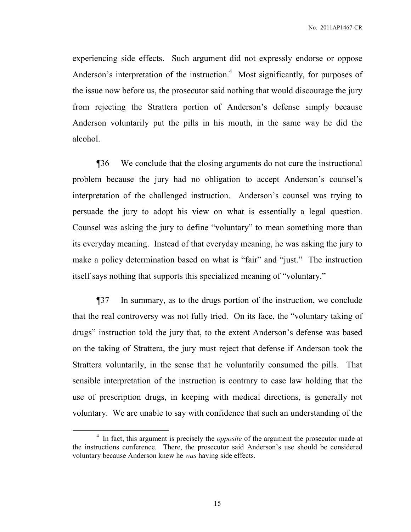experiencing side effects. Such argument did not expressly endorse or oppose Anderson's interpretation of the instruction.<sup>4</sup> Most significantly, for purposes of the issue now before us, the prosecutor said nothing that would discourage the jury from rejecting the Strattera portion of Anderson's defense simply because Anderson voluntarily put the pills in his mouth, in the same way he did the alcohol.

¶36 We conclude that the closing arguments do not cure the instructional problem because the jury had no obligation to accept Anderson's counsel's interpretation of the challenged instruction. Anderson's counsel was trying to persuade the jury to adopt his view on what is essentially a legal question. Counsel was asking the jury to define "voluntary" to mean something more than its everyday meaning. Instead of that everyday meaning, he was asking the jury to make a policy determination based on what is "fair" and "just." The instruction itself says nothing that supports this specialized meaning of "voluntary."

¶37 In summary, as to the drugs portion of the instruction, we conclude that the real controversy was not fully tried. On its face, the "voluntary taking of drugs" instruction told the jury that, to the extent Anderson's defense was based on the taking of Strattera, the jury must reject that defense if Anderson took the Strattera voluntarily, in the sense that he voluntarily consumed the pills. That sensible interpretation of the instruction is contrary to case law holding that the use of prescription drugs, in keeping with medical directions, is generally not voluntary. We are unable to say with confidence that such an understanding of the

 $\overline{a}$ 

<sup>&</sup>lt;sup>4</sup> In fact, this argument is precisely the *opposite* of the argument the prosecutor made at the instructions conference. There, the prosecutor said Anderson's use should be considered voluntary because Anderson knew he *was* having side effects.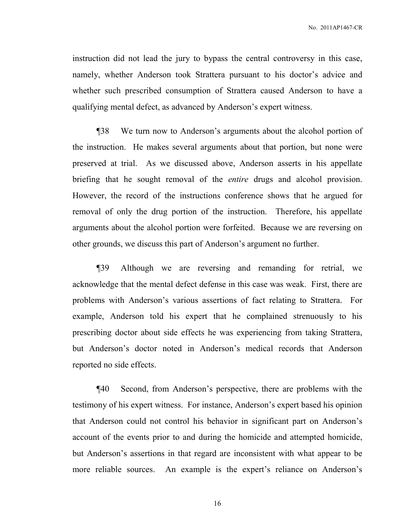instruction did not lead the jury to bypass the central controversy in this case, namely, whether Anderson took Strattera pursuant to his doctor's advice and whether such prescribed consumption of Strattera caused Anderson to have a qualifying mental defect, as advanced by Anderson's expert witness.

¶38 We turn now to Anderson's arguments about the alcohol portion of the instruction. He makes several arguments about that portion, but none were preserved at trial. As we discussed above, Anderson asserts in his appellate briefing that he sought removal of the *entire* drugs and alcohol provision. However, the record of the instructions conference shows that he argued for removal of only the drug portion of the instruction. Therefore, his appellate arguments about the alcohol portion were forfeited. Because we are reversing on other grounds, we discuss this part of Anderson's argument no further.

¶39 Although we are reversing and remanding for retrial, we acknowledge that the mental defect defense in this case was weak. First, there are problems with Anderson's various assertions of fact relating to Strattera. For example, Anderson told his expert that he complained strenuously to his prescribing doctor about side effects he was experiencing from taking Strattera, but Anderson's doctor noted in Anderson's medical records that Anderson reported no side effects.

¶40 Second, from Anderson's perspective, there are problems with the testimony of his expert witness. For instance, Anderson's expert based his opinion that Anderson could not control his behavior in significant part on Anderson's account of the events prior to and during the homicide and attempted homicide, but Anderson's assertions in that regard are inconsistent with what appear to be more reliable sources. An example is the expert's reliance on Anderson's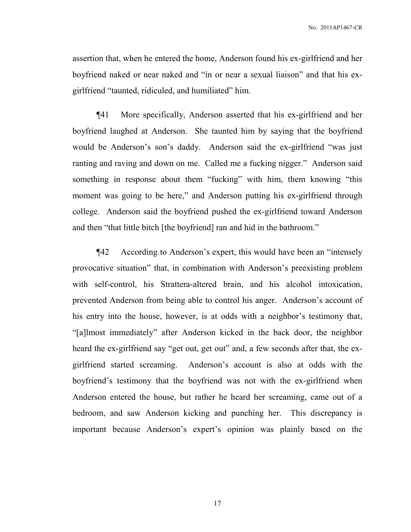assertion that, when he entered the home, Anderson found his ex-girlfriend and her boyfriend naked or near naked and "in or near a sexual liaison" and that his exgirlfriend "taunted, ridiculed, and humiliated" him.

¶41 More specifically, Anderson asserted that his ex-girlfriend and her boyfriend laughed at Anderson. She taunted him by saying that the boyfriend would be Anderson's son's daddy. Anderson said the ex-girlfriend "was just ranting and raving and down on me. Called me a fucking nigger." Anderson said something in response about them "fucking" with him, them knowing "this moment was going to be here," and Anderson putting his ex-girlfriend through college. Anderson said the boyfriend pushed the ex-girlfriend toward Anderson and then "that little bitch [the boyfriend] ran and hid in the bathroom."

¶42 According to Anderson's expert, this would have been an "intensely provocative situation" that, in combination with Anderson's preexisting problem with self-control, his Strattera-altered brain, and his alcohol intoxication, prevented Anderson from being able to control his anger. Anderson's account of his entry into the house, however, is at odds with a neighbor's testimony that, "[a]lmost immediately" after Anderson kicked in the back door, the neighbor heard the ex-girlfriend say "get out, get out" and, a few seconds after that, the exgirlfriend started screaming. Anderson's account is also at odds with the boyfriend's testimony that the boyfriend was not with the ex-girlfriend when Anderson entered the house, but rather he heard her screaming, came out of a bedroom, and saw Anderson kicking and punching her. This discrepancy is important because Anderson's expert's opinion was plainly based on the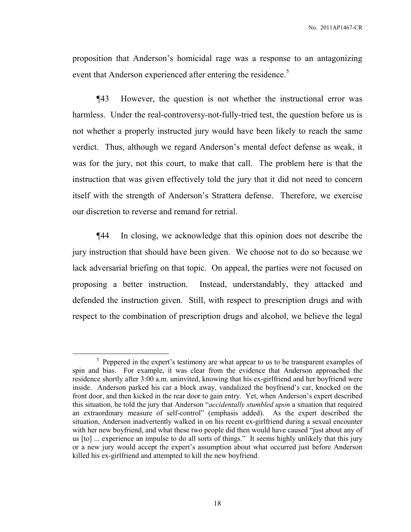proposition that Anderson's homicidal rage was a response to an antagonizing event that Anderson experienced after entering the residence.<sup>5</sup>

¶43 However, the question is not whether the instructional error was harmless. Under the real-controversy-not-fully-tried test, the question before us is not whether a properly instructed jury would have been likely to reach the same verdict. Thus, although we regard Anderson's mental defect defense as weak, it was for the jury, not this court, to make that call. The problem here is that the instruction that was given effectively told the jury that it did not need to concern itself with the strength of Anderson's Strattera defense. Therefore, we exercise our discretion to reverse and remand for retrial.

¶44 In closing, we acknowledge that this opinion does not describe the jury instruction that should have been given. We choose not to do so because we lack adversarial briefing on that topic. On appeal, the parties were not focused on proposing a better instruction. Instead, understandably, they attacked and defended the instruction given. Still, with respect to prescription drugs and with respect to the combination of prescription drugs and alcohol, we believe the legal

 $\overline{a}$ 

<sup>&</sup>lt;sup>5</sup> Peppered in the expert's testimony are what appear to us to be transparent examples of spin and bias. For example, it was clear from the evidence that Anderson approached the residence shortly after 3:00 a.m. uninvited, knowing that his ex-girlfriend and her boyfriend were inside. Anderson parked his car a block away, vandalized the boyfriend's car, knocked on the front door, and then kicked in the rear door to gain entry. Yet, when Anderson's expert described this situation, he told the jury that Anderson "*accidentally stumbled upon* a situation that required an extraordinary measure of self-control" (emphasis added). As the expert described the situation, Anderson inadvertently walked in on his recent ex-girlfriend during a sexual encounter with her new boyfriend, and what these two people did then would have caused "just about any of us [to] ... experience an impulse to do all sorts of things." It seems highly unlikely that this jury or a new jury would accept the expert's assumption about what occurred just before Anderson killed his ex-girlfriend and attempted to kill the new boyfriend.